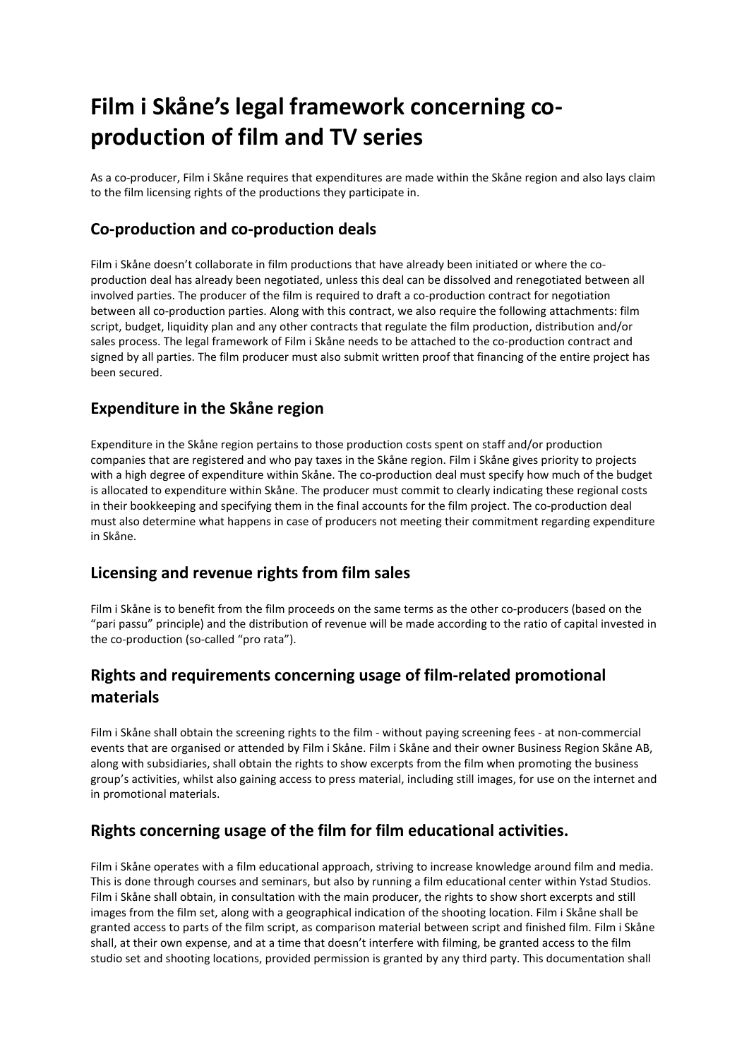# **Film i Skåne's legal framework concerning coproduction of film and TV series**

As a co-producer, Film i Skåne requires that expenditures are made within the Skåne region and also lays claim to the film licensing rights of the productions they participate in.

### **Co-production and co-production deals**

Film i Skåne doesn't collaborate in film productions that have already been initiated or where the coproduction deal has already been negotiated, unless this deal can be dissolved and renegotiated between all involved parties. The producer of the film is required to draft a co-production contract for negotiation between all co-production parties. Along with this contract, we also require the following attachments: film script, budget, liquidity plan and any other contracts that regulate the film production, distribution and/or sales process. The legal framework of Film i Skåne needs to be attached to the co-production contract and signed by all parties. The film producer must also submit written proof that financing of the entire project has been secured.

#### **Expenditure in the Skåne region**

Expenditure in the Skåne region pertains to those production costs spent on staff and/or production companies that are registered and who pay taxes in the Skåne region. Film i Skåne gives priority to projects with a high degree of expenditure within Skåne. The co-production deal must specify how much of the budget is allocated to expenditure within Skåne. The producer must commit to clearly indicating these regional costs in their bookkeeping and specifying them in the final accounts for the film project. The co-production deal must also determine what happens in case of producers not meeting their commitment regarding expenditure in Skåne.

#### **Licensing and revenue rights from film sales**

Film i Skåne is to benefit from the film proceeds on the same terms as the other co-producers (based on the "pari passu" principle) and the distribution of revenue will be made according to the ratio of capital invested in the co-production (so-called "pro rata").

## **Rights and requirements concerning usage of film-related promotional materials**

Film i Skåne shall obtain the screening rights to the film - without paying screening fees - at non-commercial events that are organised or attended by Film i Skåne. Film i Skåne and their owner Business Region Skåne AB, along with subsidiaries, shall obtain the rights to show excerpts from the film when promoting the business group's activities, whilst also gaining access to press material, including still images, for use on the internet and in promotional materials.

#### **Rights concerning usage of the film for film educational activities.**

Film i Skåne operates with a film educational approach, striving to increase knowledge around film and media. This is done through courses and seminars, but also by running a film educational center within Ystad Studios. Film i Skåne shall obtain, in consultation with the main producer, the rights to show short excerpts and still images from the film set, along with a geographical indication of the shooting location. Film i Skåne shall be granted access to parts of the film script, as comparison material between script and finished film. Film i Skåne shall, at their own expense, and at a time that doesn't interfere with filming, be granted access to the film studio set and shooting locations, provided permission is granted by any third party. This documentation shall